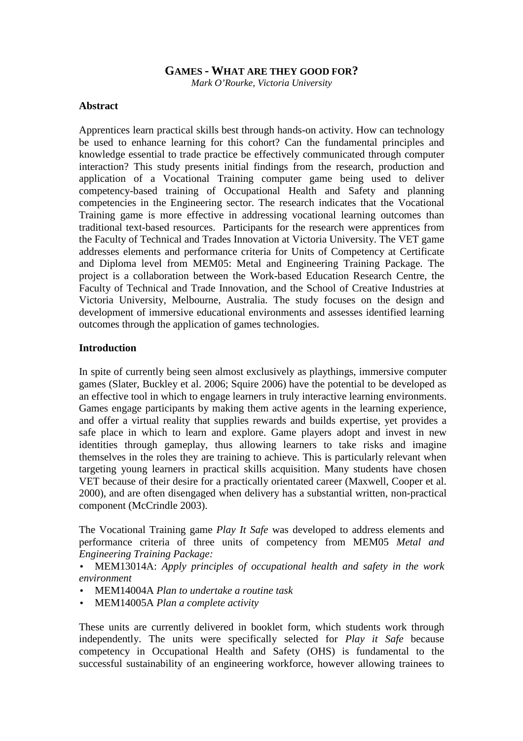#### **GAMES - WHAT ARE THEY GOOD FOR?**

*Mark O'Rourke, Victoria University* 

#### **Abstract**

Apprentices learn practical skills best through hands-on activity. How can technology be used to enhance learning for this cohort? Can the fundamental principles and knowledge essential to trade practice be effectively communicated through computer interaction? This study presents initial findings from the research, production and application of a Vocational Training computer game being used to deliver competency-based training of Occupational Health and Safety and planning competencies in the Engineering sector. The research indicates that the Vocational Training game is more effective in addressing vocational learning outcomes than traditional text-based resources. Participants for the research were apprentices from the Faculty of Technical and Trades Innovation at Victoria University. The VET game addresses elements and performance criteria for Units of Competency at Certificate and Diploma level from MEM05: Metal and Engineering Training Package. The project is a collaboration between the Work-based Education Research Centre, the Faculty of Technical and Trade Innovation, and the School of Creative Industries at Victoria University, Melbourne, Australia. The study focuses on the design and development of immersive educational environments and assesses identified learning outcomes through the application of games technologies.

#### **Introduction**

In spite of currently being seen almost exclusively as playthings, immersive computer games (Slater, Buckley et al. 2006; Squire 2006) have the potential to be developed as an effective tool in which to engage learners in truly interactive learning environments. Games engage participants by making them active agents in the learning experience, and offer a virtual reality that supplies rewards and builds expertise, yet provides a safe place in which to learn and explore. Game players adopt and invest in new identities through gameplay, thus allowing learners to take risks and imagine themselves in the roles they are training to achieve. This is particularly relevant when targeting young learners in practical skills acquisition. Many students have chosen VET because of their desire for a practically orientated career (Maxwell, Cooper et al. 2000), and are often disengaged when delivery has a substantial written, non-practical component (McCrindle 2003).

The Vocational Training game *Play It Safe* was developed to address elements and performance criteria of three units of competency from MEM05 *Metal and Engineering Training Package:*

- MEM13014A: *Apply principles of occupational health and safety in the work environment*
- MEM14004A *Plan to undertake a routine task*
- MEM14005A *Plan a complete activity*

These units are currently delivered in booklet form, which students work through independently. The units were specifically selected for *Play it Safe* because competency in Occupational Health and Safety (OHS) is fundamental to the successful sustainability of an engineering workforce, however allowing trainees to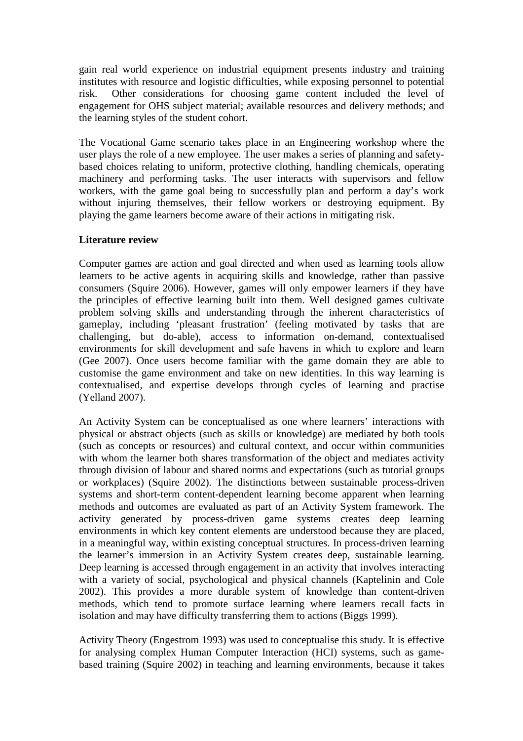gain real world experience on industrial equipment presents industry and training institutes with resource and logistic difficulties, while exposing personnel to potential risk. Other considerations for choosing game content included the level of engagement for OHS subject material; available resources and delivery methods; and the learning styles of the student cohort.

The Vocational Game scenario takes place in an Engineering workshop where the user plays the role of a new employee. The user makes a series of planning and safetybased choices relating to uniform, protective clothing, handling chemicals, operating machinery and performing tasks. The user interacts with supervisors and fellow workers, with the game goal being to successfully plan and perform a day's work without injuring themselves, their fellow workers or destroying equipment. By playing the game learners become aware of their actions in mitigating risk.

## **Literature review**

Computer games are action and goal directed and when used as learning tools allow learners to be active agents in acquiring skills and knowledge, rather than passive consumers (Squire 2006). However, games will only empower learners if they have the principles of effective learning built into them. Well designed games cultivate problem solving skills and understanding through the inherent characteristics of gameplay, including 'pleasant frustration' (feeling motivated by tasks that are challenging, but do-able), access to information on-demand, contextualised environments for skill development and safe havens in which to explore and learn (Gee 2007). Once users become familiar with the game domain they are able to customise the game environment and take on new identities. In this way learning is contextualised, and expertise develops through cycles of learning and practise (Yelland 2007).

An Activity System can be conceptualised as one where learners' interactions with physical or abstract objects (such as skills or knowledge) are mediated by both tools (such as concepts or resources) and cultural context, and occur within communities with whom the learner both shares transformation of the object and mediates activity through division of labour and shared norms and expectations (such as tutorial groups or workplaces) (Squire 2002). The distinctions between sustainable process-driven systems and short-term content-dependent learning become apparent when learning methods and outcomes are evaluated as part of an Activity System framework. The activity generated by process-driven game systems creates deep learning environments in which key content elements are understood because they are placed, in a meaningful way, within existing conceptual structures. In process-driven learning the learner's immersion in an Activity System creates deep, sustainable learning. Deep learning is accessed through engagement in an activity that involves interacting with a variety of social, psychological and physical channels (Kaptelinin and Cole 2002). This provides a more durable system of knowledge than content-driven methods, which tend to promote surface learning where learners recall facts in isolation and may have difficulty transferring them to actions (Biggs 1999).

Activity Theory (Engestrom 1993) was used to conceptualise this study. It is effective for analysing complex Human Computer Interaction (HCI) systems, such as gamebased training (Squire 2002) in teaching and learning environments, because it takes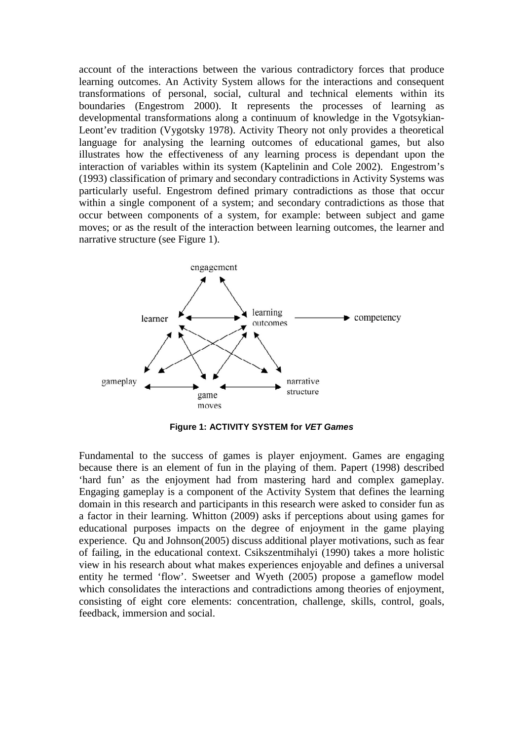account of the interactions between the various contradictory forces that produce learning outcomes. An Activity System allows for the interactions and consequent transformations of personal, social, cultural and technical elements within its boundaries (Engestrom 2000). It represents the processes of learning as developmental transformations along a continuum of knowledge in the Vgotsykian-Leont'ev tradition (Vygotsky 1978). Activity Theory not only provides a theoretical language for analysing the learning outcomes of educational games, but also illustrates how the effectiveness of any learning process is dependant upon the interaction of variables within its system (Kaptelinin and Cole 2002). Engestrom's (1993) classification of primary and secondary contradictions in Activity Systems was particularly useful. Engestrom defined primary contradictions as those that occur within a single component of a system; and secondary contradictions as those that occur between components of a system, for example: between subject and game moves; or as the result of the interaction between learning outcomes, the learner and narrative structure (see Figure 1).



**Figure 1: ACTIVITY SYSTEM for VET Games** 

Fundamental to the success of games is player enjoyment. Games are engaging because there is an element of fun in the playing of them. Papert (1998) described 'hard fun' as the enjoyment had from mastering hard and complex gameplay. Engaging gameplay is a component of the Activity System that defines the learning domain in this research and participants in this research were asked to consider fun as a factor in their learning. Whitton (2009) asks if perceptions about using games for educational purposes impacts on the degree of enjoyment in the game playing experience. Qu and Johnson(2005) discuss additional player motivations, such as fear of failing, in the educational context. Csikszentmihalyi (1990) takes a more holistic view in his research about what makes experiences enjoyable and defines a universal entity he termed 'flow'. Sweetser and Wyeth (2005) propose a gameflow model which consolidates the interactions and contradictions among theories of enjoyment, consisting of eight core elements: concentration, challenge, skills, control, goals, feedback, immersion and social.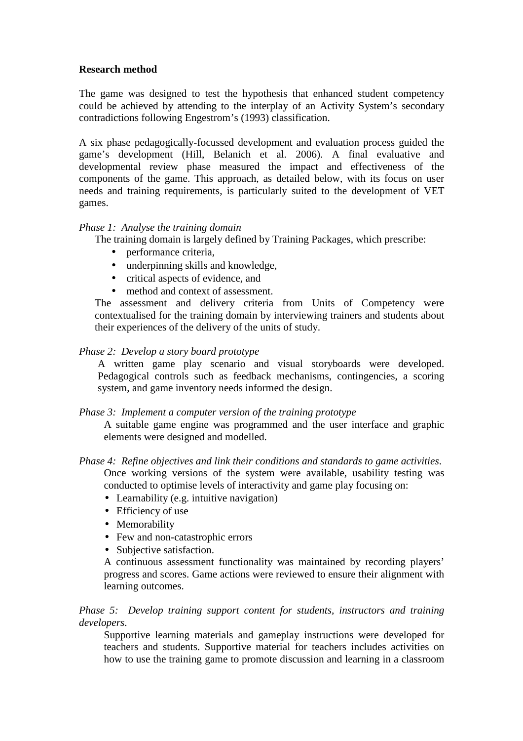## **Research method**

The game was designed to test the hypothesis that enhanced student competency could be achieved by attending to the interplay of an Activity System's secondary contradictions following Engestrom's (1993) classification.

A six phase pedagogically-focussed development and evaluation process guided the game's development (Hill, Belanich et al. 2006). A final evaluative and developmental review phase measured the impact and effectiveness of the components of the game. This approach, as detailed below, with its focus on user needs and training requirements, is particularly suited to the development of VET games.

## *Phase 1: Analyse the training domain*

The training domain is largely defined by Training Packages, which prescribe:

- performance criteria,
- underpinning skills and knowledge.
- critical aspects of evidence, and
- method and context of assessment.

The assessment and delivery criteria from Units of Competency were contextualised for the training domain by interviewing trainers and students about their experiences of the delivery of the units of study.

## *Phase 2: Develop a story board prototype*

A written game play scenario and visual storyboards were developed. Pedagogical controls such as feedback mechanisms, contingencies, a scoring system, and game inventory needs informed the design.

#### *Phase 3: Implement a computer version of the training prototype*

A suitable game engine was programmed and the user interface and graphic elements were designed and modelled.

### *Phase 4: Refine objectives and link their conditions and standards to game activities*. Once working versions of the system were available, usability testing was conducted to optimise levels of interactivity and game play focusing on:

- Learnability (e.g. intuitive navigation)
- Efficiency of use
- Memorability
- Few and non-catastrophic errors
- Subjective satisfaction.

A continuous assessment functionality was maintained by recording players' progress and scores. Game actions were reviewed to ensure their alignment with learning outcomes.

# *Phase 5: Develop training support content for students, instructors and training developers*.

Supportive learning materials and gameplay instructions were developed for teachers and students. Supportive material for teachers includes activities on how to use the training game to promote discussion and learning in a classroom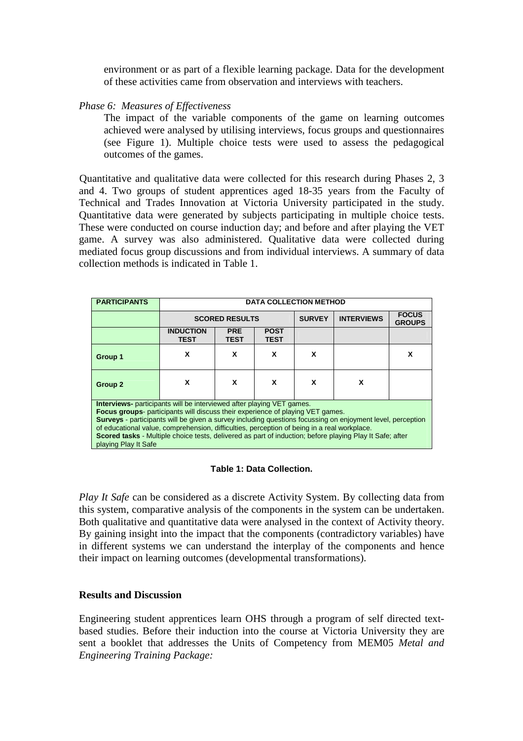environment or as part of a flexible learning package. Data for the development of these activities came from observation and interviews with teachers.

#### *Phase 6: Measures of Effectiveness*

The impact of the variable components of the game on learning outcomes achieved were analysed by utilising interviews, focus groups and questionnaires (see Figure 1). Multiple choice tests were used to assess the pedagogical outcomes of the games.

Quantitative and qualitative data were collected for this research during Phases 2, 3 and 4. Two groups of student apprentices aged 18-35 years from the Faculty of Technical and Trades Innovation at Victoria University participated in the study. Quantitative data were generated by subjects participating in multiple choice tests. These were conducted on course induction day; and before and after playing the VET game. A survey was also administered. Qualitative data were collected during mediated focus group discussions and from individual interviews. A summary of data collection methods is indicated in Table 1.

| <b>PARTICIPANTS</b>                                                                                                                                                                                                                                                                                                                                                                                                                                                                                                    | <b>DATA COLLECTION METHOD</b>   |                           |                            |               |                   |                               |  |  |
|------------------------------------------------------------------------------------------------------------------------------------------------------------------------------------------------------------------------------------------------------------------------------------------------------------------------------------------------------------------------------------------------------------------------------------------------------------------------------------------------------------------------|---------------------------------|---------------------------|----------------------------|---------------|-------------------|-------------------------------|--|--|
|                                                                                                                                                                                                                                                                                                                                                                                                                                                                                                                        | <b>SCORED RESULTS</b>           |                           |                            | <b>SURVEY</b> | <b>INTERVIEWS</b> | <b>FOCUS</b><br><b>GROUPS</b> |  |  |
|                                                                                                                                                                                                                                                                                                                                                                                                                                                                                                                        | <b>INDUCTION</b><br><b>TEST</b> | <b>PRE</b><br><b>TEST</b> | <b>POST</b><br><b>TEST</b> |               |                   |                               |  |  |
| Group 1                                                                                                                                                                                                                                                                                                                                                                                                                                                                                                                | x                               | x                         | X                          | X             |                   | x                             |  |  |
| Group <sub>2</sub>                                                                                                                                                                                                                                                                                                                                                                                                                                                                                                     | X                               | X                         | X                          | X             |                   |                               |  |  |
| <b>Interviews-</b> participants will be interviewed after playing VET games.<br><b>Focus groups-</b> participants will discuss their experience of playing VET games.<br>Surveys - participants will be given a survey including questions focussing on enjoyment level, perception<br>of educational value, comprehension, difficulties, perception of being in a real workplace.<br>Scored tasks - Multiple choice tests, delivered as part of induction; before playing Play It Safe; after<br>playing Play It Safe |                                 |                           |                            |               |                   |                               |  |  |

#### **Table 1: Data Collection.**

*Play It Safe* can be considered as a discrete Activity System. By collecting data from this system, comparative analysis of the components in the system can be undertaken. Both qualitative and quantitative data were analysed in the context of Activity theory. By gaining insight into the impact that the components (contradictory variables) have in different systems we can understand the interplay of the components and hence their impact on learning outcomes (developmental transformations).

#### **Results and Discussion**

Engineering student apprentices learn OHS through a program of self directed textbased studies. Before their induction into the course at Victoria University they are sent a booklet that addresses the Units of Competency from MEM05 *Metal and Engineering Training Package:*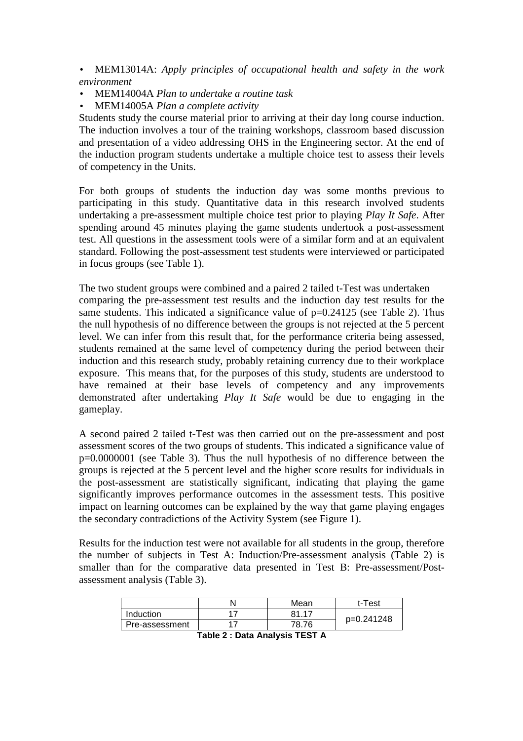• MEM13014A: *Apply principles of occupational health and safety in the work environment* 

- MEM14004A *Plan to undertake a routine task*
- MEM14005A *Plan a complete activity*

Students study the course material prior to arriving at their day long course induction. The induction involves a tour of the training workshops, classroom based discussion and presentation of a video addressing OHS in the Engineering sector. At the end of the induction program students undertake a multiple choice test to assess their levels of competency in the Units.

For both groups of students the induction day was some months previous to participating in this study. Quantitative data in this research involved students undertaking a pre-assessment multiple choice test prior to playing *Play It Safe*. After spending around 45 minutes playing the game students undertook a post-assessment test. All questions in the assessment tools were of a similar form and at an equivalent standard. Following the post-assessment test students were interviewed or participated in focus groups (see Table 1).

The two student groups were combined and a paired 2 tailed t-Test was undertaken comparing the pre-assessment test results and the induction day test results for the same students. This indicated a significance value of  $p=0.24125$  (see Table 2). Thus the null hypothesis of no difference between the groups is not rejected at the 5 percent level. We can infer from this result that, for the performance criteria being assessed, students remained at the same level of competency during the period between their induction and this research study, probably retaining currency due to their workplace exposure. This means that, for the purposes of this study, students are understood to have remained at their base levels of competency and any improvements demonstrated after undertaking *Play It Safe* would be due to engaging in the gameplay.

A second paired 2 tailed t-Test was then carried out on the pre-assessment and post assessment scores of the two groups of students. This indicated a significance value of p=0.0000001 (see Table 3). Thus the null hypothesis of no difference between the groups is rejected at the 5 percent level and the higher score results for individuals in the post-assessment are statistically significant, indicating that playing the game significantly improves performance outcomes in the assessment tests. This positive impact on learning outcomes can be explained by the way that game playing engages the secondary contradictions of the Activity System (see Figure 1).

Results for the induction test were not available for all students in the group, therefore the number of subjects in Test A: Induction/Pre-assessment analysis (Table 2) is smaller than for the comparative data presented in Test B: Pre-assessment/Postassessment analysis (Table 3).

|                     |  | Mean  | t-Test     |  |  |  |
|---------------------|--|-------|------------|--|--|--|
| Induction           |  | 81 17 | p=0.241248 |  |  |  |
| Pre-assessment      |  | 78.76 |            |  |  |  |
| ____<br>_ _ _<br>__ |  |       |            |  |  |  |

**Table 2 : Data Analysis TEST A**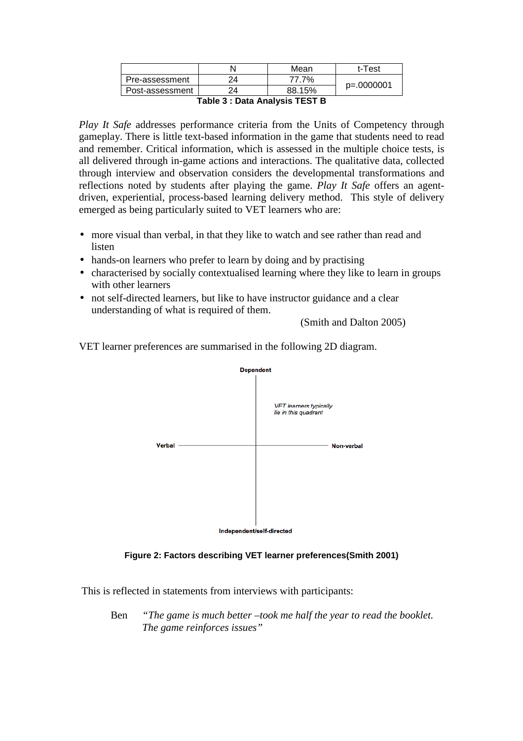|                 |    | Mean   | t-Test     |  |
|-----------------|----|--------|------------|--|
| Pre-assessment  | 24 | 77.7%  |            |  |
| Post-assessment | 24 | 88.15% | p=.0000001 |  |

**Table 3 : Data Analysis TEST B** 

*Play It Safe* addresses performance criteria from the Units of Competency through gameplay. There is little text-based information in the game that students need to read and remember. Critical information, which is assessed in the multiple choice tests, is all delivered through in-game actions and interactions. The qualitative data, collected through interview and observation considers the developmental transformations and reflections noted by students after playing the game. *Play It Safe* offers an agentdriven, experiential, process-based learning delivery method. This style of delivery emerged as being particularly suited to VET learners who are:

- more visual than verbal, in that they like to watch and see rather than read and listen
- hands-on learners who prefer to learn by doing and by practising
- characterised by socially contextualised learning where they like to learn in groups with other learners
- not self-directed learners, but like to have instructor guidance and a clear understanding of what is required of them.

(Smith and Dalton 2005)

VET learner preferences are summarised in the following 2D diagram.



**Figure 2: Factors describing VET learner preferences(Smith 2001)** 

This is reflected in statements from interviews with participants:

Ben *"The game is much better –took me half the year to read the booklet. The game reinforces issues"*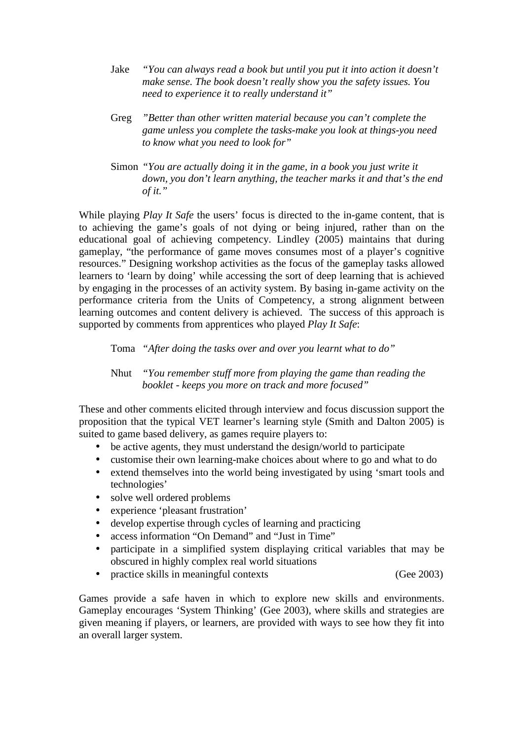- Jake *"You can always read a book but until you put it into action it doesn't make sense. The book doesn't really show you the safety issues. You need to experience it to really understand it"*
- Greg *"Better than other written material because you can't complete the game unless you complete the tasks-make you look at things-you need to know what you need to look for"*
- Simon *"You are actually doing it in the game, in a book you just write it down, you don't learn anything, the teacher marks it and that's the end of it."*

While playing *Play It Safe* the users' focus is directed to the in-game content, that is to achieving the game's goals of not dying or being injured, rather than on the educational goal of achieving competency. Lindley (2005) maintains that during gameplay, "the performance of game moves consumes most of a player's cognitive resources." Designing workshop activities as the focus of the gameplay tasks allowed learners to 'learn by doing' while accessing the sort of deep learning that is achieved by engaging in the processes of an activity system. By basing in-game activity on the performance criteria from the Units of Competency, a strong alignment between learning outcomes and content delivery is achieved. The success of this approach is supported by comments from apprentices who played *Play It Safe*:

Toma *"After doing the tasks over and over you learnt what to do"* 

Nhut *"You remember stuff more from playing the game than reading the booklet - keeps you more on track and more focused"*

These and other comments elicited through interview and focus discussion support the proposition that the typical VET learner's learning style (Smith and Dalton 2005) is suited to game based delivery, as games require players to:

- be active agents, they must understand the design/world to participate
- customise their own learning-make choices about where to go and what to do
- extend themselves into the world being investigated by using 'smart tools and technologies'
- solve well ordered problems
- experience 'pleasant frustration'
- develop expertise through cycles of learning and practicing
- access information "On Demand" and "Just in Time"
- participate in a simplified system displaying critical variables that may be obscured in highly complex real world situations
- practice skills in meaningful contexts (Gee 2003)

Games provide a safe haven in which to explore new skills and environments. Gameplay encourages 'System Thinking' (Gee 2003), where skills and strategies are given meaning if players, or learners, are provided with ways to see how they fit into an overall larger system.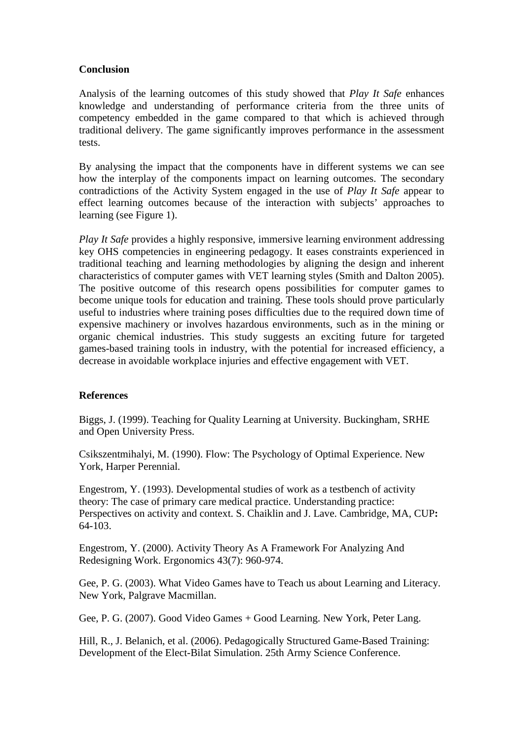# **Conclusion**

Analysis of the learning outcomes of this study showed that *Play It Safe* enhances knowledge and understanding of performance criteria from the three units of competency embedded in the game compared to that which is achieved through traditional delivery. The game significantly improves performance in the assessment tests.

By analysing the impact that the components have in different systems we can see how the interplay of the components impact on learning outcomes. The secondary contradictions of the Activity System engaged in the use of *Play It Safe* appear to effect learning outcomes because of the interaction with subjects' approaches to learning (see Figure 1).

*Play It Safe* provides a highly responsive, immersive learning environment addressing key OHS competencies in engineering pedagogy. It eases constraints experienced in traditional teaching and learning methodologies by aligning the design and inherent characteristics of computer games with VET learning styles (Smith and Dalton 2005). The positive outcome of this research opens possibilities for computer games to become unique tools for education and training. These tools should prove particularly useful to industries where training poses difficulties due to the required down time of expensive machinery or involves hazardous environments, such as in the mining or organic chemical industries. This study suggests an exciting future for targeted games-based training tools in industry, with the potential for increased efficiency, a decrease in avoidable workplace injuries and effective engagement with VET.

# **References**

Biggs, J. (1999). Teaching for Quality Learning at University. Buckingham, SRHE and Open University Press.

Csikszentmihalyi, M. (1990). Flow: The Psychology of Optimal Experience. New York, Harper Perennial.

Engestrom, Y. (1993). Developmental studies of work as a testbench of activity theory: The case of primary care medical practice. Understanding practice: Perspectives on activity and context. S. Chaiklin and J. Lave. Cambridge, MA, CUP**:**  64-103.

Engestrom, Y. (2000). Activity Theory As A Framework For Analyzing And Redesigning Work. Ergonomics 43(7): 960-974.

Gee, P. G. (2003). What Video Games have to Teach us about Learning and Literacy. New York, Palgrave Macmillan.

Gee, P. G. (2007). Good Video Games + Good Learning. New York, Peter Lang.

Hill, R., J. Belanich, et al. (2006). Pedagogically Structured Game-Based Training: Development of the Elect-Bilat Simulation. 25th Army Science Conference.